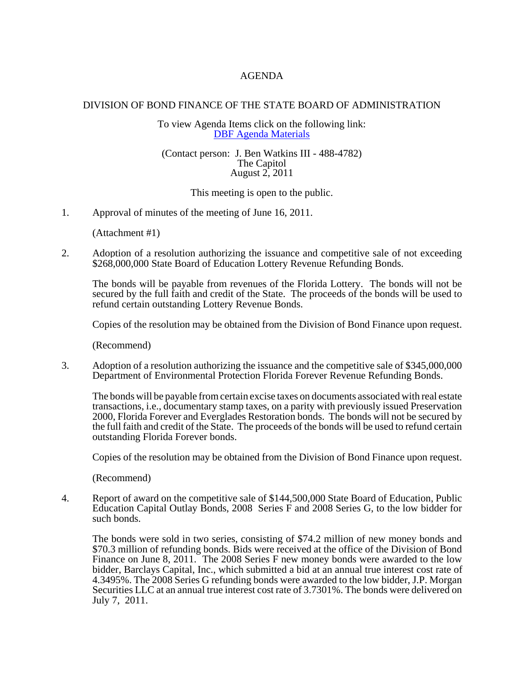## AGENDA

## DIVISION OF BOND FINANCE OF THE STATE BOARD OF ADMINISTRATION

To view Agenda Items click on the following link: [DBF Agenda Materials](http://www.sbafla.com/bond/boardmeetings.asp?FormMode=Call&LinkType=Section&Section=0)

## (Contact person: J. Ben Watkins III - 488-4782) The Capitol August 2, 2011

This meeting is open to the public.

1. Approval of minutes of the meeting of June 16, 2011.

(Attachment #1)

2. Adoption of a resolution authorizing the issuance and competitive sale of not exceeding \$268,000,000 State Board of Education Lottery Revenue Refunding Bonds.

The bonds will be payable from revenues of the Florida Lottery. The bonds will not be secured by the full faith and credit of the State. The proceeds of the bonds will be used to refund certain outstanding Lottery Revenue Bonds.

Copies of the resolution may be obtained from the Division of Bond Finance upon request.

(Recommend)

3. Adoption of a resolution authorizing the issuance and the competitive sale of \$345,000,000 Department of Environmental Protection Florida Forever Revenue Refunding Bonds.

The bonds will be payable from certain excise taxes on documents associated with real estate transactions, i.e., documentary stamp taxes, on a parity with previously issued Preservation 2000, Florida Forever and Everglades Restoration bonds. The bonds will not be secured by the full faith and credit of the State. The proceeds of the bonds will be used to refund certain outstanding Florida Forever bonds.

Copies of the resolution may be obtained from the Division of Bond Finance upon request.

(Recommend)

4. Report of award on the competitive sale of \$144,500,000 State Board of Education, Public Education Capital Outlay Bonds, 2008 Series F and 2008 Series G, to the low bidder for such bonds.

The bonds were sold in two series, consisting of \$74.2 million of new money bonds and \$70.3 million of refunding bonds. Bids were received at the office of the Division of Bond Finance on June 8, 2011. The 2008 Series F new money bonds were awarded to the low bidder, Barclays Capital, Inc., which submitted a bid at an annual true interest cost rate of 4.3495%. The 2008 Series G refunding bonds were awarded to the low bidder, J.P. Morgan Securities LLC at an annual true interest cost rate of 3.7301%. The bonds were delivered on July 7, 2011.